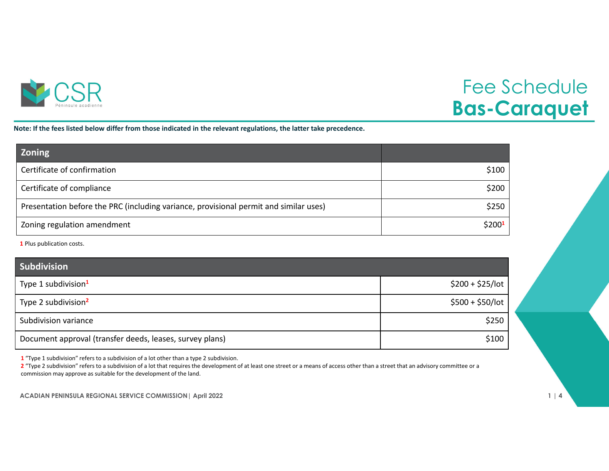

## Fee Schedule **Bas-Caraquet**

Note: If the fees listed below differ from those indicated in the relevant regulations, the latter take precedence.

| <b>Zoning</b>                                                                         |                    |
|---------------------------------------------------------------------------------------|--------------------|
| Certificate of confirmation                                                           | \$100              |
| Certificate of compliance                                                             | \$200              |
| Presentation before the PRC (including variance, provisional permit and similar uses) | \$250              |
| Zoning regulation amendment                                                           | \$200 <sup>1</sup> |

**1** Plus publication costs.

| Subdivision                                              |                   |
|----------------------------------------------------------|-------------------|
| Type 1 subdivision <sup>1</sup>                          | $$200 + $25/$ lot |
| Type 2 subdivision <sup>2</sup>                          | $$500 + $50/$ lot |
| Subdivision variance                                     | \$250             |
| Document approval (transfer deeds, leases, survey plans) | \$100             |

**1** "Type 1 subdivision" refers to <sup>a</sup> subdivision of <sup>a</sup> lot other than <sup>a</sup> type 2 subdivision.

**2** "Type 2 subdivision" refers to <sup>a</sup> subdivision of <sup>a</sup> lot that requires the development of at least one street or <sup>a</sup> means of access other than <sup>a</sup> street that an advisory committee or <sup>a</sup> commission may approve as suitable for the development of the land.

**ACADIAN PENINSULA REGIONAL SERVICE COMMISSION| April 2022 1 | 4**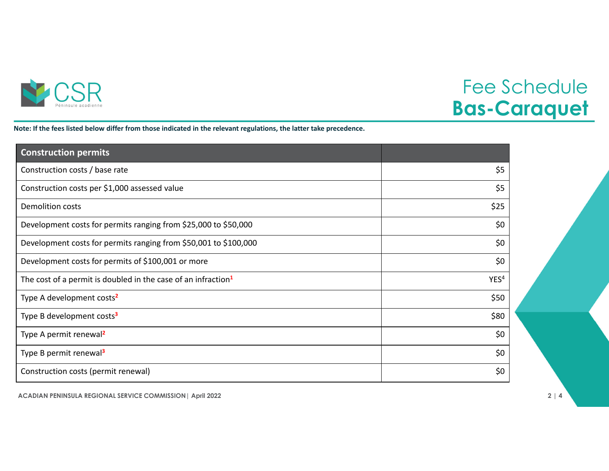

## Fee Schedule **Bas-Caraquet**

Note: If the fees listed below differ from those indicated in the relevant regulations, the latter take precedence.

| <b>Construction permits</b>                                               |                  |
|---------------------------------------------------------------------------|------------------|
| Construction costs / base rate                                            | \$5              |
| Construction costs per \$1,000 assessed value                             | \$5              |
| <b>Demolition costs</b>                                                   | \$25             |
| Development costs for permits ranging from \$25,000 to \$50,000           | \$0              |
| Development costs for permits ranging from \$50,001 to \$100,000          | \$0              |
| Development costs for permits of \$100,001 or more                        | \$0              |
| The cost of a permit is doubled in the case of an infraction <sup>1</sup> | YES <sup>4</sup> |
| Type A development costs <sup>2</sup>                                     | \$50             |
| Type B development costs <sup>3</sup>                                     | \$80             |
| Type A permit renewal <sup>2</sup>                                        | \$0              |
| Type B permit renewal <sup>3</sup>                                        | \$0              |
| Construction costs (permit renewal)                                       | \$0              |

**ACADIAN PENINSULA REGIONAL SERVICE COMMISSION| April 2022 2 | 4**